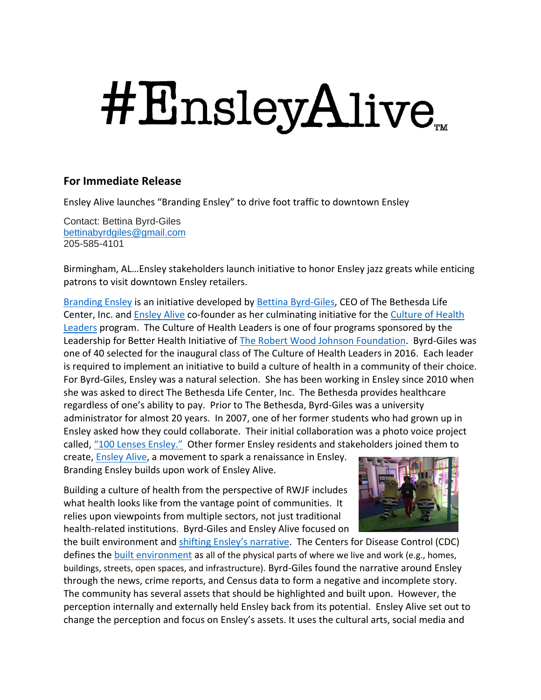## #EnsleyAlive

## **For Immediate Release**

Ensley Alive launches "Branding Ensley" to drive foot traffic to downtown Ensley

Contact: Bettina Byrd-Giles [bettinabyrdgiles@gmail.com](mailto:bettinabyrdgiles@gmail.com) 205-585-4101

Birmingham, AL…Ensley stakeholders launch initiative to honor Ensley jazz greats while enticing patrons to visit downtown Ensley retailers.

[Branding Ensley](https://teespring.com/stores/ensley-alive) is an initiative developed by [Bettina Byrd-Giles,](https://www.linkedin.com/in/culturecoach/) CEO of The Bethesda Life Center, Inc. and [Ensley Alive](http://ensleyalivebhm.org/) co-founder as her culminating initiative for the [Culture of Health](https://cultureofhealth-leaders.org/about-the-program/)  [Leaders](https://cultureofhealth-leaders.org/about-the-program/) program. The Culture of Health Leaders is one of four programs sponsored by the Leadership for Better Health Initiative of [The Robert Wood Johnson Foundation.](http://www.rwjf.org/) Byrd-Giles was one of 40 selected for the inaugural class of The Culture of Health Leaders in 2016. Each leader is required to implement an initiative to build a culture of health in a community of their choice. For Byrd-Giles, Ensley was a natural selection. She has been working in Ensley since 2010 when she was asked to direct The Bethesda Life Center, Inc. The Bethesda provides healthcare regardless of one's ability to pay. Prior to The Bethesda, Byrd-Giles was a university administrator for almost 20 years. In 2007, one of her former students who had grown up in Ensley asked how they could collaborate. Their initial collaboration was a photo voice project called, ["100 Lenses Ensley."](https://www.linkedin.com/pulse/photovoice-ensley-vantage-point-bettina-byrd-giles/) Other former Ensley residents and stakeholders joined them to

create, [Ensley Alive,](https://www.linkedin.com/pulse/ensley-alive-paradigm-shift-bettina-byrd-giles/) a movement to spark a renaissance in Ensley. Branding Ensley builds upon work of Ensley Alive.

Building a culture of health from the perspective of RWJF includes what health looks like from the vantage point of communities. It relies upon viewpoints from multiple sectors, not just traditional health-related institutions. Byrd-Giles and Ensley Alive focused on



the built environment and [shifting Ensley's narrative](https://www.linkedin.com/pulse/ensley-alive-paradigm-shift-bettina-byrd-giles/). The Centers for Disease Control (CDC) defines the [built environment](https://www.cdc.gov/nceh/publications/factsheets/impactofthebuiltenvironmentonhealth.pdf) as all of the physical parts of where we live and work (e.g., homes, buildings, streets, open spaces, and infrastructure). Byrd-Giles found the narrative around Ensley through the news, crime reports, and Census data to form a negative and incomplete story. The community has several assets that should be highlighted and built upon. However, the perception internally and externally held Ensley back from its potential. Ensley Alive set out to change the perception and focus on Ensley's assets. It uses the cultural arts, social media and